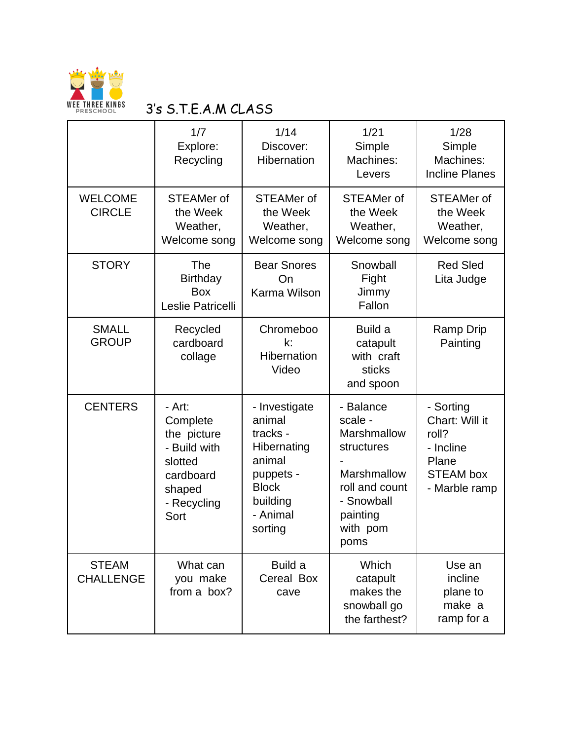

## WEE THREE KINGS 3'S S.T.E.A.M CLASS

|                                  | 1/7<br>Explore:<br>Recycling                                                                               | 1/14<br>Discover:<br>Hibernation                                                                                             | 1/21<br>Simple<br>Machines:<br>Levers                                                                                            | 1/28<br>Simple<br>Machines:<br><b>Incline Planes</b>                                            |
|----------------------------------|------------------------------------------------------------------------------------------------------------|------------------------------------------------------------------------------------------------------------------------------|----------------------------------------------------------------------------------------------------------------------------------|-------------------------------------------------------------------------------------------------|
| <b>WELCOME</b><br><b>CIRCLE</b>  | <b>STEAMer of</b><br>the Week<br>Weather,<br>Welcome song                                                  | <b>STEAMer of</b><br>the Week<br>Weather,<br>Welcome song                                                                    | <b>STEAMer of</b><br>the Week<br>Weather,<br>Welcome song                                                                        | <b>STEAMer of</b><br>the Week<br>Weather,<br>Welcome song                                       |
| <b>STORY</b>                     | <b>The</b><br><b>Birthday</b><br><b>Box</b><br>Leslie Patricelli                                           | <b>Bear Snores</b><br>On<br>Karma Wilson                                                                                     | Snowball<br>Fight<br>Jimmy<br>Fallon                                                                                             | <b>Red Sled</b><br>Lita Judge                                                                   |
| <b>SMALL</b><br><b>GROUP</b>     | Recycled<br>cardboard<br>collage                                                                           | Chromeboo<br>k:<br>Hibernation<br>Video                                                                                      | Build a<br>catapult<br>with craft<br>sticks<br>and spoon                                                                         | <b>Ramp Drip</b><br>Painting                                                                    |
| <b>CENTERS</b>                   | - Art:<br>Complete<br>the picture<br>- Build with<br>slotted<br>cardboard<br>shaped<br>- Recycling<br>Sort | - Investigate<br>animal<br>tracks -<br>Hibernating<br>animal<br>puppets -<br><b>Block</b><br>building<br>- Animal<br>sorting | - Balance<br>scale -<br>Marshmallow<br>structures<br>Marshmallow<br>roll and count<br>- Snowball<br>painting<br>with pom<br>poms | - Sorting<br>Chart: Will it<br>roll?<br>- Incline<br>Plane<br><b>STEAM box</b><br>- Marble ramp |
| <b>STEAM</b><br><b>CHALLENGE</b> | What can<br>you make<br>from a box?                                                                        | Build a<br>Cereal Box<br>cave                                                                                                | Which<br>catapult<br>makes the<br>snowball go<br>the farthest?                                                                   | Use an<br>incline<br>plane to<br>make a<br>ramp for a                                           |